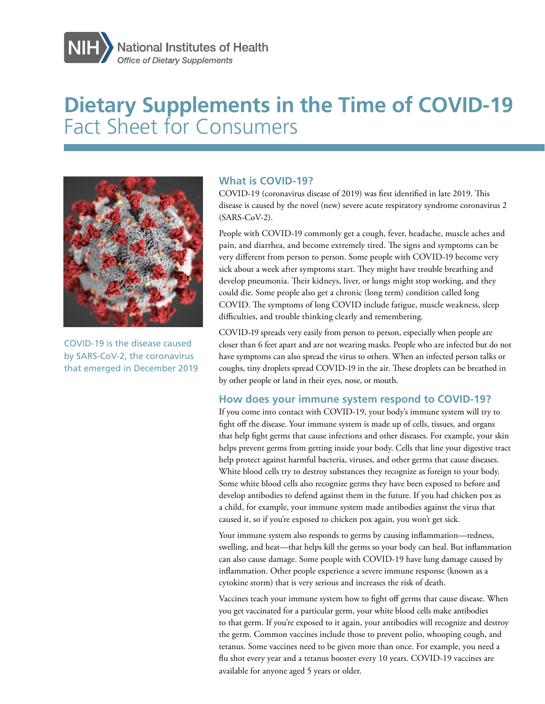

# **Dietary Supplements in the Time of COVID-19**  Fact Sheet for Consumers



COVID-19 is the disease caused by SARS-CoV-2, the coronavirus that emerged in December 2019

# **What is COVID-19?**

COVID-19 (coronavirus disease of 2019) was first identified in late 2019. This disease is caused by the novel (new) severe acute respiratory syndrome coronavirus 2 (SARS-CoV-2).

People with COVID-19 commonly get a cough, fever, headache, muscle aches and pain, and diarrhea, and become extremely tired. The signs and symptoms can be very different from person to person. Some people with COVID-19 become very sick about a week after symptoms start. They might have trouble breathing and develop pneumonia. Their kidneys, liver, or lungs might stop working, and they could die. Some people also get a chronic (long term) condition called long COVID. The symptoms of long COVID include fatigue, muscle weakness, sleep difficulties, and trouble thinking clearly and remembering.

COVID-19 spreads very easily from person to person, especially when people are closer than 6 feet apart and are not wearing masks. People who are infected but do not have symptoms can also spread the virus to others. When an infected person talks or coughs, tiny droplets spread COVID-19 in the air. These droplets can be breathed in by other people or land in their eyes, nose, or mouth.

# **How does your immune system respond to COVID-19?**

If you come into contact with COVID-19, your body's immune system will try to fight off the disease. Your immune system is made up of cells, tissues, and organs that help fight germs that cause infections and other diseases. For example, your skin helps prevent germs from getting inside your body. Cells that line your digestive tract help protect against harmful bacteria, viruses, and other germs that cause diseases. White blood cells try to destroy substances they recognize as foreign to your body. Some white blood cells also recognize germs they have been exposed to before and develop antibodies to defend against them in the future. If you had chicken pox as a child, for example, your immune system made antibodies against the virus that caused it, so if you're exposed to chicken pox again, you won't get sick.

Your immune system also responds to germs by causing inflammation—redness, swelling, and heat—that helps kill the germs so your body can heal. But inflammation can also cause damage. Some people with COVID-19 have lung damage caused by inflammation. Other people experience a severe immune response (known as a cytokine storm) that is very serious and increases the risk of death.

Vaccines teach your immune system how to fight off germs that cause disease. When you get vaccinated for a particular germ, your white blood cells make antibodies to that germ. If you're exposed to it again, your antibodies will recognize and destroy the germ. Common vaccines include those to prevent polio, whooping cough, and tetanus. Some vaccines need to be given more than once. For example, you need a flu shot every year and a tetanus booster every 10 years. COVID-19 vaccines are available for anyone aged 5 years or older.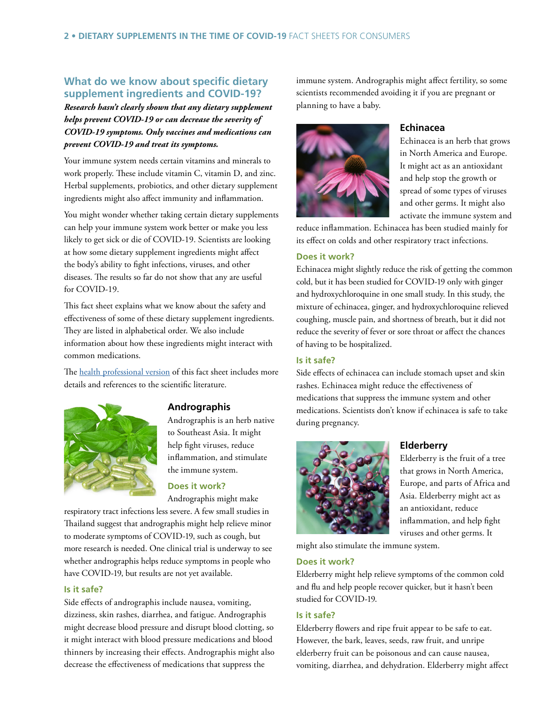# **What do we know about specific dietary supplement ingredients and COVID-19?**

*Research hasn't clearly shown that any dietary supplement helps prevent COVID-19 or can decrease the severity of COVID-19 symptoms. Only vaccines and medications can prevent COVID-19 and treat its symptoms.*

Your immune system needs certain vitamins and minerals to work properly. These include vitamin C, vitamin D, and zinc. Herbal supplements, probiotics, and other dietary supplement ingredients might also affect immunity and inflammation.

You might wonder whether taking certain dietary supplements can help your immune system work better or make you less likely to get sick or die of COVID-19. Scientists are looking at how some dietary supplement ingredients might affect the body's ability to fight infections, viruses, and other diseases. The results so far do not show that any are useful for COVID-19.

This fact sheet explains what we know about the safety and effectiveness of some of these dietary supplement ingredients. They are listed in alphabetical order. We also include information about how these ingredients might interact with common medications.

The [health professional version](https://ods.od.nih.gov/factsheets/COVID19-HealthProfessional/ ) of this fact sheet includes more details and references to the scientific literature.



## **Andrographis**

Andrographis is an herb native to Southeast Asia. It might help fight viruses, reduce inflammation, and stimulate the immune system.

## **Does it work?**

Andrographis might make

respiratory tract infections less severe. A few small studies in Thailand suggest that andrographis might help relieve minor to moderate symptoms of COVID-19, such as cough, but more research is needed. One clinical trial is underway to see whether andrographis helps reduce symptoms in people who have COVID-19, but results are not yet available.

## **Is it safe?**

Side effects of andrographis include nausea, vomiting, dizziness, skin rashes, diarrhea, and fatigue. Andrographis might decrease blood pressure and disrupt blood clotting, so it might interact with blood pressure medications and blood thinners by increasing their effects. Andrographis might also decrease the effectiveness of medications that suppress the

immune system. Andrographis might affect fertility, so some scientists recommended avoiding it if you are pregnant or planning to have a baby.



#### **Echinacea**

Echinacea is an herb that grows in North America and Europe. It might act as an antioxidant and help stop the growth or spread of some types of viruses and other germs. It might also activate the immune system and

reduce inflammation. Echinacea has been studied mainly for its effect on colds and other respiratory tract infections.

#### **Does it work?**

Echinacea might slightly reduce the risk of getting the common cold, but it has been studied for COVID-19 only with ginger and hydroxychloroquine in one small study. In this study, the mixture of echinacea, ginger, and hydroxychloroquine relieved coughing, muscle pain, and shortness of breath, but it did not reduce the severity of fever or sore throat or affect the chances of having to be hospitalized.

#### **Is it safe?**

Side effects of echinacea can include stomach upset and skin rashes. Echinacea might reduce the effectiveness of medications that suppress the immune system and other medications. Scientists don't know if echinacea is safe to take during pregnancy.



## **Elderberry**

Elderberry is the fruit of a tree that grows in North America, Europe, and parts of Africa and Asia. Elderberry might act as an antioxidant, reduce inflammation, and help fight viruses and other germs. It

might also stimulate the immune system.

#### **Does it work?**

Elderberry might help relieve symptoms of the common cold and flu and help people recover quicker, but it hasn't been studied for COVID-19.

#### **Is it safe?**

Elderberry flowers and ripe fruit appear to be safe to eat. However, the bark, leaves, seeds, raw fruit, and unripe elderberry fruit can be poisonous and can cause nausea, vomiting, diarrhea, and dehydration. Elderberry might affect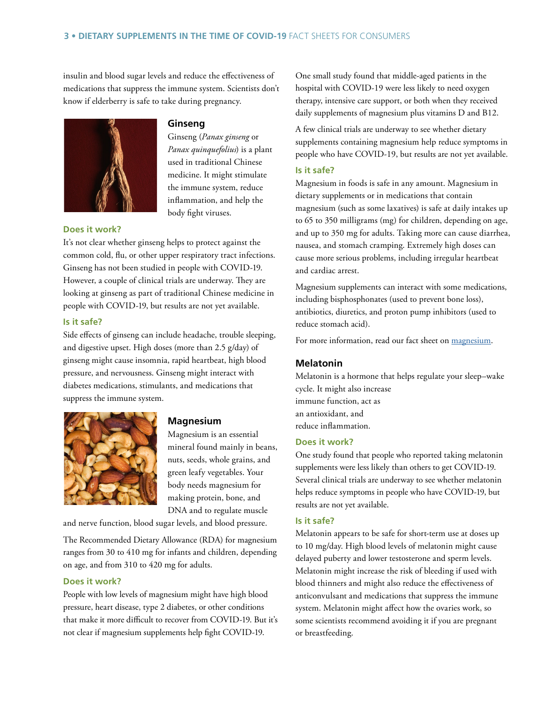insulin and blood sugar levels and reduce the effectiveness of medications that suppress the immune system. Scientists don't know if elderberry is safe to take during pregnancy.



#### **Ginseng**

Ginseng (*Panax ginseng* or *Panax quinquefolius*) is a plant used in traditional Chinese medicine. It might stimulate the immune system, reduce inflammation, and help the body fight viruses.

**Does it work?** 

It's not clear whether ginseng helps to protect against the common cold, flu, or other upper respiratory tract infections. Ginseng has not been studied in people with COVID-19. However, a couple of clinical trials are underway. They are looking at ginseng as part of traditional Chinese medicine in people with COVID-19, but results are not yet available.

## **Is it safe?**

Side effects of ginseng can include headache, trouble sleeping, and digestive upset. High doses (more than 2.5 g/day) of ginseng might cause insomnia, rapid heartbeat, high blood pressure, and nervousness. Ginseng might interact with diabetes medications, stimulants, and medications that suppress the immune system.



## **Magnesium**

Magnesium is an essential mineral found mainly in beans, nuts, seeds, whole grains, and green leafy vegetables. Your body needs magnesium for making protein, bone, and DNA and to regulate muscle

and nerve function, blood sugar levels, and blood pressure.

The Recommended Dietary Allowance (RDA) for magnesium ranges from 30 to 410 mg for infants and children, depending on age, and from 310 to 420 mg for adults.

#### **Does it work?**

People with low levels of magnesium might have high blood pressure, heart disease, type 2 diabetes, or other conditions that make it more difficult to recover from COVID-19. But it's not clear if magnesium supplements help fight COVID-19.

One small study found that middle-aged patients in the hospital with COVID-19 were less likely to need oxygen therapy, intensive care support, or both when they received daily supplements of magnesium plus vitamins D and B12.

A few clinical trials are underway to see whether dietary supplements containing magnesium help reduce symptoms in people who have COVID-19, but results are not yet available.

#### **Is it safe?**

Magnesium in foods is safe in any amount. Magnesium in dietary supplements or in medications that contain magnesium (such as some laxatives) is safe at daily intakes up to 65 to 350 milligrams (mg) for children, depending on age, and up to 350 mg for adults. Taking more can cause diarrhea, nausea, and stomach cramping. Extremely high doses can cause more serious problems, including irregular heartbeat and cardiac arrest.

Magnesium supplements can interact with some medications, including bisphosphonates (used to prevent bone loss), antibiotics, diuretics, and proton pump inhibitors (used to reduce stomach acid).

For more information, read our fact sheet on [magnesium.](https://ods.od.nih.gov/factsheets/Magnesium-Consumer/)

## **Melatonin**

Melatonin is a hormone that helps regulate your sleep–wake cycle. It might also increase immune function, act as an antioxidant, and reduce inflammation.

#### **Does it work?**

One study found that people who reported taking melatonin supplements were less likely than others to get COVID-19. Several clinical trials are underway to see whether melatonin helps reduce symptoms in people who have COVID-19, but results are not yet available.

#### **Is it safe?**

Melatonin appears to be safe for short-term use at doses up to 10 mg/day. High blood levels of melatonin might cause delayed puberty and lower testosterone and sperm levels. Melatonin might increase the risk of bleeding if used with blood thinners and might also reduce the effectiveness of anticonvulsant and medications that suppress the immune system. Melatonin might affect how the ovaries work, so some scientists recommend avoiding it if you are pregnant or breastfeeding.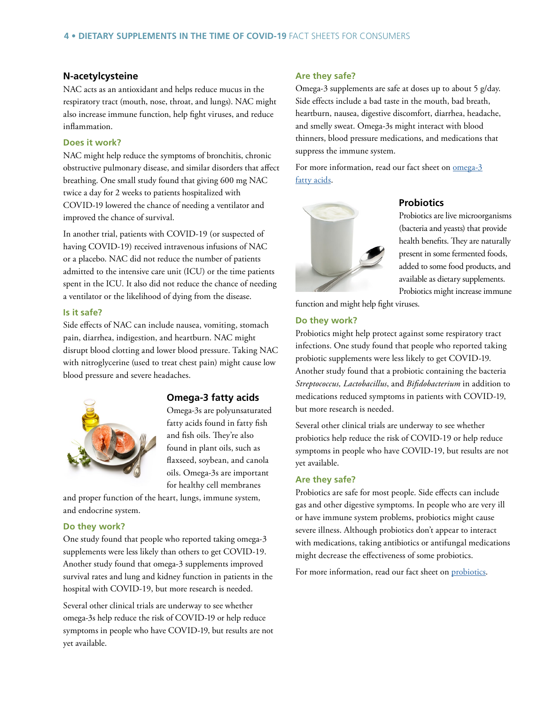#### **N-acetylcysteine**

NAC acts as an antioxidant and helps reduce mucus in the respiratory tract (mouth, nose, throat, and lungs). NAC might also increase immune function, help fight viruses, and reduce inflammation.

#### **Does it work?**

NAC might help reduce the symptoms of bronchitis, chronic obstructive pulmonary disease, and similar disorders that affect breathing. One small study found that giving 600 mg NAC twice a day for 2 weeks to patients hospitalized with COVID-19 lowered the chance of needing a ventilator and improved the chance of survival.

In another trial, patients with COVID-19 (or suspected of having COVID-19) received intravenous infusions of NAC or a placebo. NAC did not reduce the number of patients admitted to the intensive care unit (ICU) or the time patients spent in the ICU. It also did not reduce the chance of needing a ventilator or the likelihood of dying from the disease.

#### **Is it safe?**

Side effects of NAC can include nausea, vomiting, stomach pain, diarrhea, indigestion, and heartburn. NAC might disrupt blood clotting and lower blood pressure. Taking NAC with nitroglycerine (used to treat chest pain) might cause low blood pressure and severe headaches.



#### **Omega-3 fatty acids**

Omega-3s are polyunsaturated fatty acids found in fatty fish and fish oils. They're also found in plant oils, such as flaxseed, soybean, and canola oils. Omega-3s are important for healthy cell membranes

and proper function of the heart, lungs, immune system, and endocrine system.

## **Do they work?**

One study found that people who reported taking omega-3 supplements were less likely than others to get COVID-19. Another study found that omega-3 supplements improved survival rates and lung and kidney function in patients in the hospital with COVID-19, but more research is needed.

Several other clinical trials are underway to see whether omega-3s help reduce the risk of COVID-19 or help reduce symptoms in people who have COVID-19, but results are not yet available.

#### **Are they safe?**

Omega-3 supplements are safe at doses up to about 5 g/day. Side effects include a bad taste in the mouth, bad breath, heartburn, nausea, digestive discomfort, diarrhea, headache, and smelly sweat. Omega-3s might interact with blood thinners, blood pressure medications, and medications that suppress the immune system.

For more information, read our fact sheet on [omega-3](https://ods.od.nih.gov/factsheets/Omega3FattyAcids-Consumer) [fatty acids.](https://ods.od.nih.gov/factsheets/Omega3FattyAcids-Consumer)



## **Probiotics**

Probiotics are live microorganisms (bacteria and yeasts) that provide health benefits. They are naturally present in some fermented foods, added to some food products, and available as dietary supplements. Probiotics might increase immune

function and might help fight viruses.

#### **Do they work?**

Probiotics might help protect against some respiratory tract infections. One study found that people who reported taking probiotic supplements were less likely to get COVID-19. Another study found that a probiotic containing the bacteria *Streptococcus, Lactobacillus*, and *Bifidobacterium* in addition to medications reduced symptoms in patients with COVID-19, but more research is needed.

Several other clinical trials are underway to see whether probiotics help reduce the risk of COVID-19 or help reduce symptoms in people who have COVID-19, but results are not yet available.

#### **Are they safe?**

Probiotics are safe for most people. Side effects can include gas and other digestive symptoms. In people who are very ill or have immune system problems, probiotics might cause severe illness. Although probiotics don't appear to interact with medications, taking antibiotics or antifungal medications might decrease the effectiveness of some probiotics.

For more information, read our fact sheet on [probiotics.](https://ods.od.nih.gov/factsheets/Probiotics-Consumer)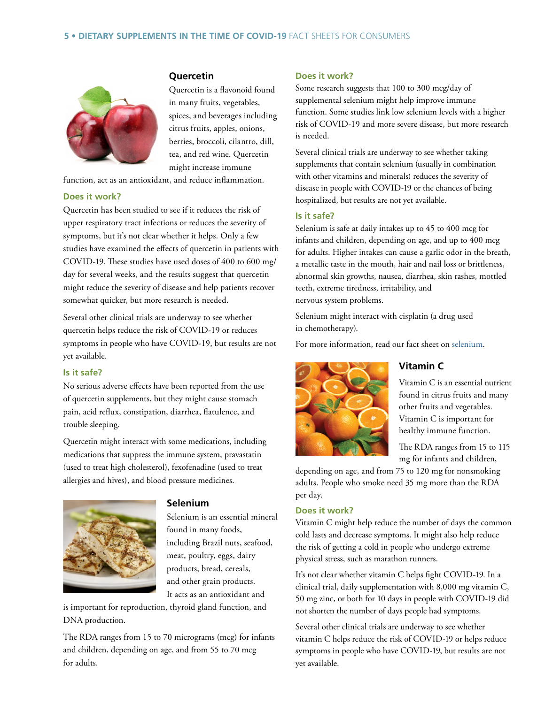

## **Quercetin**

Quercetin is a flavonoid found in many fruits, vegetables, spices, and beverages including citrus fruits, apples, onions, berries, broccoli, cilantro, dill, tea, and red wine. Quercetin might increase immune

function, act as an antioxidant, and reduce inflammation.

#### **Does it work?**

Quercetin has been studied to see if it reduces the risk of upper respiratory tract infections or reduces the severity of symptoms, but it's not clear whether it helps. Only a few studies have examined the effects of quercetin in patients with COVID-19. These studies have used doses of 400 to 600 mg/ day for several weeks, and the results suggest that quercetin might reduce the severity of disease and help patients recover somewhat quicker, but more research is needed.

Several other clinical trials are underway to see whether quercetin helps reduce the risk of COVID-19 or reduces symptoms in people who have COVID-19, but results are not yet available.

#### **Is it safe?**

No serious adverse effects have been reported from the use of quercetin supplements, but they might cause stomach pain, acid reflux, constipation, diarrhea, flatulence, and trouble sleeping.

Quercetin might interact with some medications, including medications that suppress the immune system, pravastatin (used to treat high cholesterol), fexofenadine (used to treat allergies and hives), and blood pressure medicines.



#### **Selenium**

Selenium is an essential mineral found in many foods, including Brazil nuts, seafood, meat, poultry, eggs, dairy products, bread, cereals, and other grain products. It acts as an antioxidant and

is important for reproduction, thyroid gland function, and DNA production.

The RDA ranges from 15 to 70 micrograms (mcg) for infants and children, depending on age, and from 55 to 70 mcg for adults.

#### **Does it work?**

Some research suggests that 100 to 300 mcg/day of supplemental selenium might help improve immune function. Some studies link low selenium levels with a higher risk of COVID-19 and more severe disease, but more research is needed.

Several clinical trials are underway to see whether taking supplements that contain selenium (usually in combination with other vitamins and minerals) reduces the severity of disease in people with COVID-19 or the chances of being hospitalized, but results are not yet available.

#### **Is it safe?**

Selenium is safe at daily intakes up to 45 to 400 mcg for infants and children, depending on age, and up to 400 mcg for adults. Higher intakes can cause a garlic odor in the breath, a metallic taste in the mouth, hair and nail loss or brittleness, abnormal skin growths, nausea, diarrhea, skin rashes, mottled teeth, extreme tiredness, irritability, and nervous system problems.

Selenium might interact with cisplatin (a drug used in chemotherapy).

For more information, read our fact sheet on [selenium.](https://ods.od.nih.gov/factsheets/Selenium-Consumer)



# **Vitamin C**

Vitamin C is an essential nutrient found in citrus fruits and many other fruits and vegetables. Vitamin C is important for healthy immune function.

The RDA ranges from 15 to 115 mg for infants and children,

depending on age, and from 75 to 120 mg for nonsmoking adults. People who smoke need 35 mg more than the RDA per day.

#### **Does it work?**

Vitamin C might help reduce the number of days the common cold lasts and decrease symptoms. It might also help reduce the risk of getting a cold in people who undergo extreme physical stress, such as marathon runners.

It's not clear whether vitamin C helps fight COVID-19. In a clinical trial, daily supplementation with 8,000 mg vitamin C, 50 mg zinc, or both for 10 days in people with COVID-19 did not shorten the number of days people had symptoms.

Several other clinical trials are underway to see whether vitamin C helps reduce the risk of COVID-19 or helps reduce symptoms in people who have COVID-19, but results are not yet available.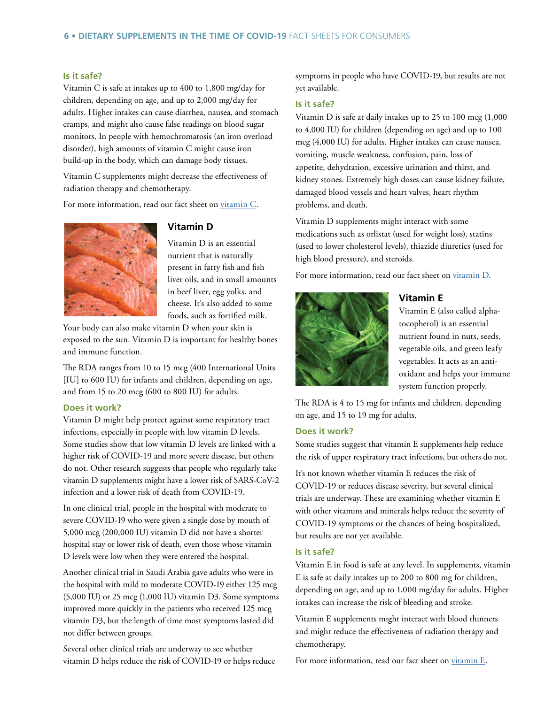#### **Is it safe?**

Vitamin C is safe at intakes up to 400 to 1,800 mg/day for children, depending on age, and up to 2,000 mg/day for adults. Higher intakes can cause diarrhea, nausea, and stomach cramps, and might also cause false readings on blood sugar monitors. In people with hemochromatosis (an iron overload disorder), high amounts of vitamin C might cause iron build-up in the body, which can damage body tissues.

Vitamin C supplements might decrease the effectiveness of radiation therapy and chemotherapy.

For more information, read our fact sheet on [vitamin C](https://ods.od.nih.gov/factsheets/VitaminC-Consumer).



## **Vitamin D**

Vitamin D is an essential nutrient that is naturally present in fatty fish and fish liver oils, and in small amounts in beef liver, egg yolks, and cheese. It's also added to some foods, such as fortified milk.

Your body can also make vitamin D when your skin is exposed to the sun. Vitamin D is important for healthy bones and immune function.

The RDA ranges from 10 to 15 mcg (400 International Units [IU] to 600 IU) for infants and children, depending on age, and from 15 to 20 mcg (600 to 800 IU) for adults.

#### **Does it work?**

Vitamin D might help protect against some respiratory tract infections, especially in people with low vitamin D levels. Some studies show that low vitamin D levels are linked with a higher risk of COVID-19 and more severe disease, but others do not. Other research suggests that people who regularly take vitamin D supplements might have a lower risk of SARS-CoV-2 infection and a lower risk of death from COVID-19.

In one clinical trial, people in the hospital with moderate to severe COVID-19 who were given a single dose by mouth of 5,000 mcg (200,000 IU) vitamin D did not have a shorter hospital stay or lower risk of death, even those whose vitamin D levels were low when they were entered the hospital.

Another clinical trial in Saudi Arabia gave adults who were in the hospital with mild to moderate COVID-19 either 125 mcg (5,000 IU) or 25 mcg (1,000 IU) vitamin D3. Some symptoms improved more quickly in the patients who received 125 mcg vitamin D3, but the length of time most symptoms lasted did not differ between groups.

Several other clinical trials are underway to see whether vitamin D helps reduce the risk of COVID-19 or helps reduce symptoms in people who have COVID-19, but results are not yet available.

## **Is it safe?**

Vitamin D is safe at daily intakes up to 25 to 100 mcg (1,000 to 4,000 IU) for children (depending on age) and up to 100 mcg (4,000 IU) for adults. Higher intakes can cause nausea, vomiting, muscle weakness, confusion, pain, loss of appetite, dehydration, excessive urination and thirst, and kidney stones. Extremely high doses can cause kidney failure, damaged blood vessels and heart valves, heart rhythm problems, and death.

Vitamin D supplements might interact with some medications such as orlistat (used for weight loss), statins (used to lower cholesterol levels), thiazide diuretics (used for high blood pressure), and steroids.

For more information, read our fact sheet on [vitamin D](https://ods.od.nih.gov/factsheets/VitaminD-Consumer/).



## **Vitamin E**

Vitamin E (also called alphatocopherol) is an essential nutrient found in nuts, seeds, vegetable oils, and green leafy vegetables. It acts as an antioxidant and helps your immune system function properly.

The RDA is 4 to 15 mg for infants and children, depending on age, and 15 to 19 mg for adults.

#### **Does it work?**

Some studies suggest that vitamin E supplements help reduce the risk of upper respiratory tract infections, but others do not.

It's not known whether vitamin E reduces the risk of COVID-19 or reduces disease severity, but several clinical trials are underway. These are examining whether vitamin E with other vitamins and minerals helps reduce the severity of COVID-19 symptoms or the chances of being hospitalized, but results are not yet available.

## **Is it safe?**

Vitamin E in food is safe at any level. In supplements, vitamin E is safe at daily intakes up to 200 to 800 mg for children, depending on age, and up to 1,000 mg/day for adults. Higher intakes can increase the risk of bleeding and stroke.

Vitamin E supplements might interact with blood thinners and might reduce the effectiveness of radiation therapy and chemotherapy.

For more information, read our fact sheet on [vitamin E](https://ods.od.nih.gov/factsheets/VitaminE-Consumer/).